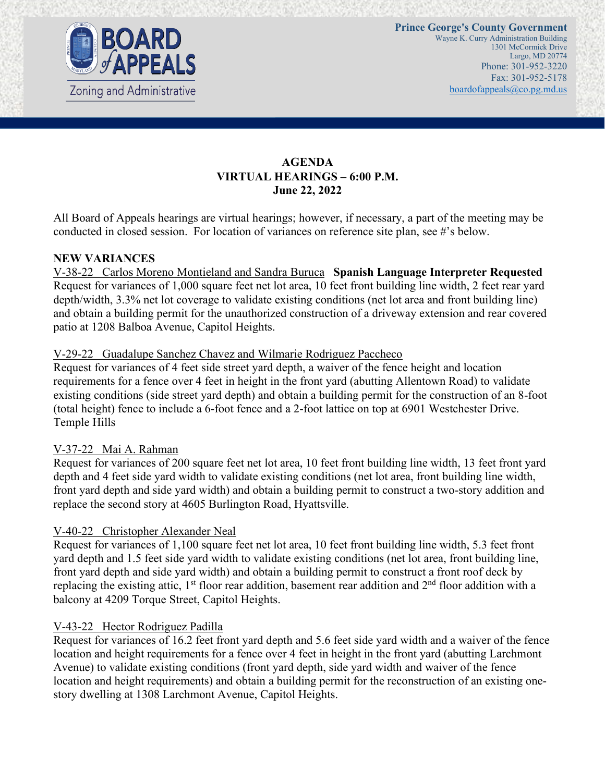

# **AGENDA VIRTUAL HEARINGS – 6:00 P.M. June 22, 2022**

All Board of Appeals hearings are virtual hearings; however, if necessary, a part of the meeting may be conducted in closed session. For location of variances on reference site plan, see #'s below.

#### **NEW VARIANCES**

V-38-22 Carlos Moreno Montieland and Sandra Buruca **Spanish Language Interpreter Requested** Request for variances of 1,000 square feet net lot area, 10 feet front building line width, 2 feet rear yard depth/width, 3.3% net lot coverage to validate existing conditions (net lot area and front building line) and obtain a building permit for the unauthorized construction of a driveway extension and rear covered patio at 1208 Balboa Avenue, Capitol Heights.

#### V-29-22 Guadalupe Sanchez Chavez and Wilmarie Rodriguez Paccheco

Request for variances of 4 feet side street yard depth, a waiver of the fence height and location requirements for a fence over 4 feet in height in the front yard (abutting Allentown Road) to validate existing conditions (side street yard depth) and obtain a building permit for the construction of an 8-foot (total height) fence to include a 6-foot fence and a 2-foot lattice on top at 6901 Westchester Drive. Temple Hills

#### V-37-22 Mai A. Rahman

Request for variances of 200 square feet net lot area, 10 feet front building line width, 13 feet front yard depth and 4 feet side yard width to validate existing conditions (net lot area, front building line width, front yard depth and side yard width) and obtain a building permit to construct a two-story addition and replace the second story at 4605 Burlington Road, Hyattsville.

## V-40-22 Christopher Alexander Neal

Request for variances of 1,100 square feet net lot area, 10 feet front building line width, 5.3 feet front yard depth and 1.5 feet side yard width to validate existing conditions (net lot area, front building line, front yard depth and side yard width) and obtain a building permit to construct a front roof deck by replacing the existing attic,  $1<sup>st</sup>$  floor rear addition, basement rear addition and  $2<sup>nd</sup>$  floor addition with a balcony at 4209 Torque Street, Capitol Heights.

## V-43-22 Hector Rodriguez Padilla

Request for variances of 16.2 feet front yard depth and 5.6 feet side yard width and a waiver of the fence location and height requirements for a fence over 4 feet in height in the front yard (abutting Larchmont Avenue) to validate existing conditions (front yard depth, side yard width and waiver of the fence location and height requirements) and obtain a building permit for the reconstruction of an existing onestory dwelling at 1308 Larchmont Avenue, Capitol Heights.